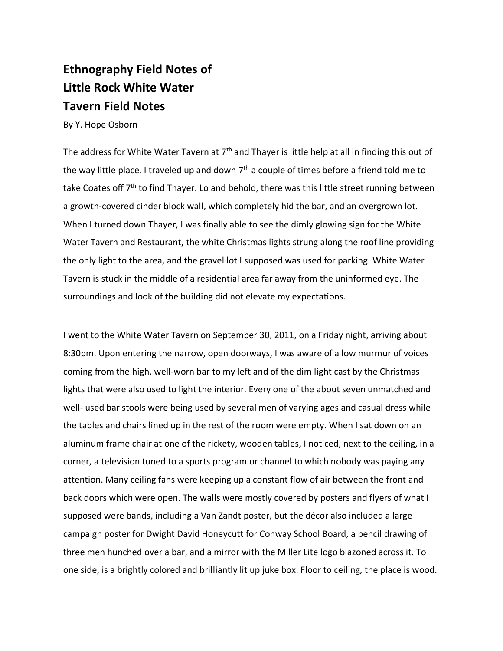## **Ethnography Field Notes of Little Rock White Water Tavern Field Notes**

By Y. Hope Osborn

The address for White Water Tavern at 7<sup>th</sup> and Thayer is little help at all in finding this out of the way little place. I traveled up and down  $7<sup>th</sup>$  a couple of times before a friend told me to take Coates off 7<sup>th</sup> to find Thayer. Lo and behold, there was this little street running between a growth-covered cinder block wall, which completely hid the bar, and an overgrown lot. When I turned down Thayer, I was finally able to see the dimly glowing sign for the White Water Tavern and Restaurant, the white Christmas lights strung along the roof line providing the only light to the area, and the gravel lot I supposed was used for parking. White Water Tavern is stuck in the middle of a residential area far away from the uninformed eye. The surroundings and look of the building did not elevate my expectations.

I went to the White Water Tavern on September 30, 2011, on a Friday night, arriving about 8:30pm. Upon entering the narrow, open doorways, I was aware of a low murmur of voices coming from the high, well-worn bar to my left and of the dim light cast by the Christmas lights that were also used to light the interior. Every one of the about seven unmatched and well- used bar stools were being used by several men of varying ages and casual dress while the tables and chairs lined up in the rest of the room were empty. When I sat down on an aluminum frame chair at one of the rickety, wooden tables, I noticed, next to the ceiling, in a corner, a television tuned to a sports program or channel to which nobody was paying any attention. Many ceiling fans were keeping up a constant flow of air between the front and back doors which were open. The walls were mostly covered by posters and flyers of what I supposed were bands, including a Van Zandt poster, but the décor also included a large campaign poster for Dwight David Honeycutt for Conway School Board, a pencil drawing of three men hunched over a bar, and a mirror with the Miller Lite logo blazoned across it. To one side, is a brightly colored and brilliantly lit up juke box. Floor to ceiling, the place is wood.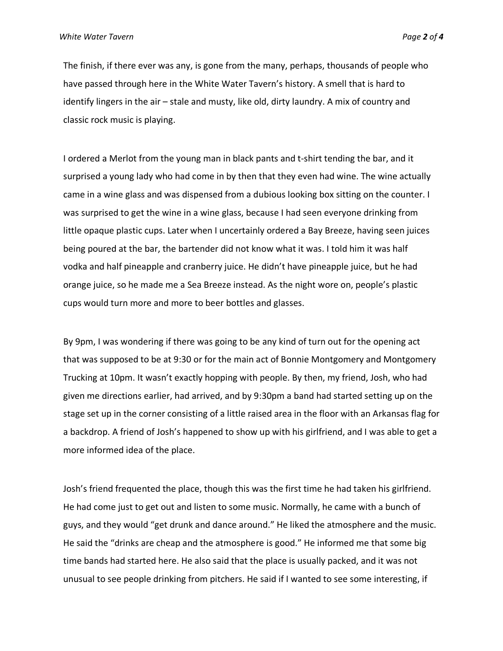The finish, if there ever was any, is gone from the many, perhaps, thousands of people who have passed through here in the White Water Tavern's history. A smell that is hard to identify lingers in the air – stale and musty, like old, dirty laundry. A mix of country and classic rock music is playing.

I ordered a Merlot from the young man in black pants and t-shirt tending the bar, and it surprised a young lady who had come in by then that they even had wine. The wine actually came in a wine glass and was dispensed from a dubious looking box sitting on the counter. I was surprised to get the wine in a wine glass, because I had seen everyone drinking from little opaque plastic cups. Later when I uncertainly ordered a Bay Breeze, having seen juices being poured at the bar, the bartender did not know what it was. I told him it was half vodka and half pineapple and cranberry juice. He didn't have pineapple juice, but he had orange juice, so he made me a Sea Breeze instead. As the night wore on, people's plastic cups would turn more and more to beer bottles and glasses.

By 9pm, I was wondering if there was going to be any kind of turn out for the opening act that was supposed to be at 9:30 or for the main act of Bonnie Montgomery and Montgomery Trucking at 10pm. It wasn't exactly hopping with people. By then, my friend, Josh, who had given me directions earlier, had arrived, and by 9:30pm a band had started setting up on the stage set up in the corner consisting of a little raised area in the floor with an Arkansas flag for a backdrop. A friend of Josh's happened to show up with his girlfriend, and I was able to get a more informed idea of the place.

Josh's friend frequented the place, though this was the first time he had taken his girlfriend. He had come just to get out and listen to some music. Normally, he came with a bunch of guys, and they would "get drunk and dance around." He liked the atmosphere and the music. He said the "drinks are cheap and the atmosphere is good." He informed me that some big time bands had started here. He also said that the place is usually packed, and it was not unusual to see people drinking from pitchers. He said if I wanted to see some interesting, if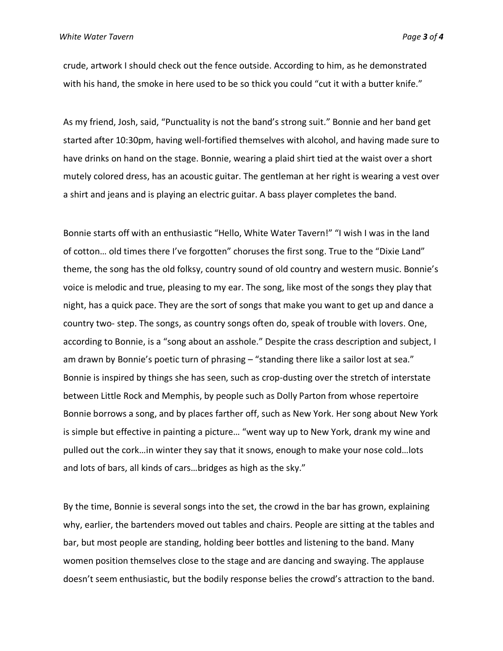crude, artwork I should check out the fence outside. According to him, as he demonstrated with his hand, the smoke in here used to be so thick you could "cut it with a butter knife."

As my friend, Josh, said, "Punctuality is not the band's strong suit." Bonnie and her band get started after 10:30pm, having well-fortified themselves with alcohol, and having made sure to have drinks on hand on the stage. Bonnie, wearing a plaid shirt tied at the waist over a short mutely colored dress, has an acoustic guitar. The gentleman at her right is wearing a vest over a shirt and jeans and is playing an electric guitar. A bass player completes the band.

Bonnie starts off with an enthusiastic "Hello, White Water Tavern!" "I wish I was in the land of cotton… old times there I've forgotten" choruses the first song. True to the "Dixie Land" theme, the song has the old folksy, country sound of old country and western music. Bonnie's voice is melodic and true, pleasing to my ear. The song, like most of the songs they play that night, has a quick pace. They are the sort of songs that make you want to get up and dance a country two- step. The songs, as country songs often do, speak of trouble with lovers. One, according to Bonnie, is a "song about an asshole." Despite the crass description and subject, I am drawn by Bonnie's poetic turn of phrasing – "standing there like a sailor lost at sea." Bonnie is inspired by things she has seen, such as crop-dusting over the stretch of interstate between Little Rock and Memphis, by people such as Dolly Parton from whose repertoire Bonnie borrows a song, and by places farther off, such as New York. Her song about New York is simple but effective in painting a picture… "went way up to New York, drank my wine and pulled out the cork…in winter they say that it snows, enough to make your nose cold…lots and lots of bars, all kinds of cars…bridges as high as the sky."

By the time, Bonnie is several songs into the set, the crowd in the bar has grown, explaining why, earlier, the bartenders moved out tables and chairs. People are sitting at the tables and bar, but most people are standing, holding beer bottles and listening to the band. Many women position themselves close to the stage and are dancing and swaying. The applause doesn't seem enthusiastic, but the bodily response belies the crowd's attraction to the band.